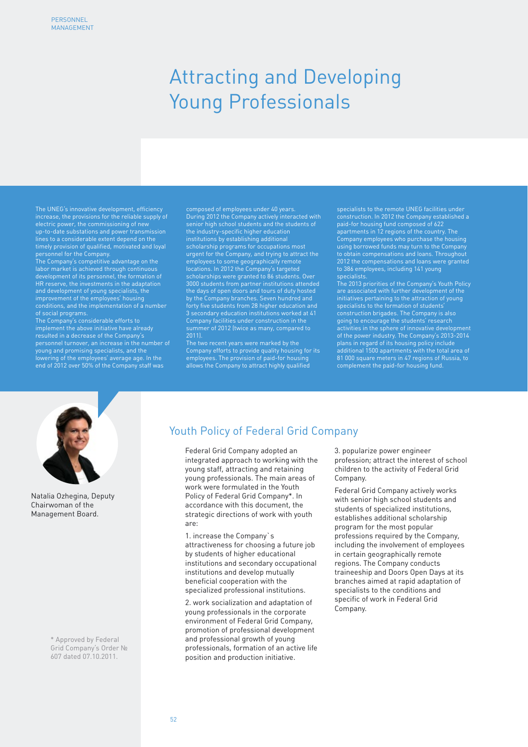# Attracting and Developing Young Professionals

The UNEG's innovative development, efficiency increase, the provisions for the reliable supply of electric power, the commissioning of new up-to-date substations and power transmission lines to a considerable extent depend on the timely provision of qualified, motivated and loyal personnel for the Company.

The Company's competitive advantage on the labor market is achieved through continuous HR reserve, the investments in the adaptation and development of young specialists, the improvement of the employees' housing conditions, and the implementation of a number of social programs.

The Company's considerable efforts to implement the above initiative have already resulted in a decrease of the Company's young and promising specialists, and the lowering of the employees' average age. In the end of 2012 over 50% of the Company staff was composed of employees under 40 years. During 2012 the Company actively interacted with senior high school students and the students of the industry-specific higher education institutions by establishing additional scholarship programs for occupations most urgent for the Company, and trying to attract the employees to some geographically remote locations. In 2012 the Company's targeted scholarships were granted to 86 students. Over 3000 students from partner institutions attended the days of open doors and tours of duty hosted by the Company branches. Seven hundred and forty five students from 28 higher education and 3 secondary education institutions worked at 41 Company facilities under construction in the summer of 2012 (twice as many, compared to

The two recent years were marked by the Company efforts to provide quality housing for its employees. The provision of paid-for housin allows the Company to attract highly qualified

specialists to the remote UNEG facilities under construction. In 2012 the Company established a paid-for housing fund composed of 622 apartments in 12 regions of the country. The Company employees who purchase the housing using borrowed funds may turn to the Company to obtain compensations and loans. Throughout 2012 the compensations and loans were granted to 386 employees, including 141 young specialists.

The 2013 priorities of the Company's Youth Policy are associated with further development of the initiatives pertaining to the attraction of young construction brigades. The Company is also going to encourage the students' research activities in the sphere of innovative development plans in regard of its housing policy include additional 1500 apartments with the total area of 81 000 square meters in 47 regions of Russia, to complement the paid-for housing fund.



Natalia Ozhegina, Deputy Chairwoman of the Management Board.

> \* Approved by Federal Grid Company's Order № 607 dated 07.10.2011.

## Youth Policy of Federal Grid Company

Federal Grid Company adopted an integrated approach to working with the young staff, attracting and retaining young professionals. The main areas of work were formulated in the Youth Policy of Federal Grid Company\*. In accordance with this document, the strategic directions of work with youth are:

1. increase the Company`s attractiveness for choosing a future job by students of higher educational institutions and secondary occupational institutions and develop mutually beneficial cooperation with the specialized professional institutions.

2. work socialization and adaptation of young professionals in the corporate environment of Federal Grid Company, promotion of professional development and professional growth of young professionals, formation of an active life position and production initiative.

3. popularize power engineer profession; attract the interest of school children to the activity of Federal Grid Company.

Federal Grid Company actively works with senior high school students and students of specialized institutions, establishes additional scholarship program for the most popular professions required by the Company, including the involvement of employees in certain geographically remote regions. The Company conducts traineeship and Doors Open Days at its branches aimed at rapid adaptation of specialists to the conditions and specific of work in Federal Grid Company.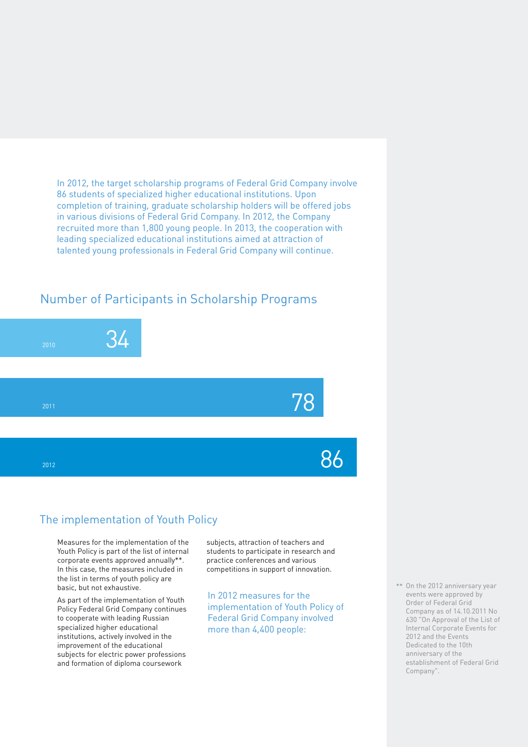In 2012, the target scholarship programs of Federal Grid Company involve 86 students of specialized higher educational institutions. Upon completion of training, graduate scholarship holders will be offered jobs in various divisions of Federal Grid Company. In 2012, the Company recruited more than 1,800 young people. In 2013, the cooperation with leading specialized educational institutions aimed at attraction of talented young professionals in Federal Grid Company will continue.

## Number of Participants in Scholarship Programs



## The implementation of Youth Policy

Measures for the implementation of the Youth Policy is part of the list of internal corporate events approved annually\*\*. In this case, the measures included in the list in terms of youth policy are basic, but not exhaustive.

As part of the implementation of Youth Policy Federal Grid Company continues to cooperate with leading Russian specialized higher educational institutions, actively involved in the improvement of the educational subjects for electric power professions and formation of diploma coursework

subjects, attraction of teachers and students to participate in research and practice conferences and various competitions in support of innovation.

78

86

In 2012 measures for the implementation of Youth Policy of Federal Grid Company involved more than 4,400 people:

\*\* On the 2012 anniversary year events were approved by Order of Federal Grid Company as of 14.10.2011 No 630 "On Approval of the List of Internal Corporate Events for 2012 and the Events Dedicated to the 10th anniversary of the establishment of Federal Grid Company".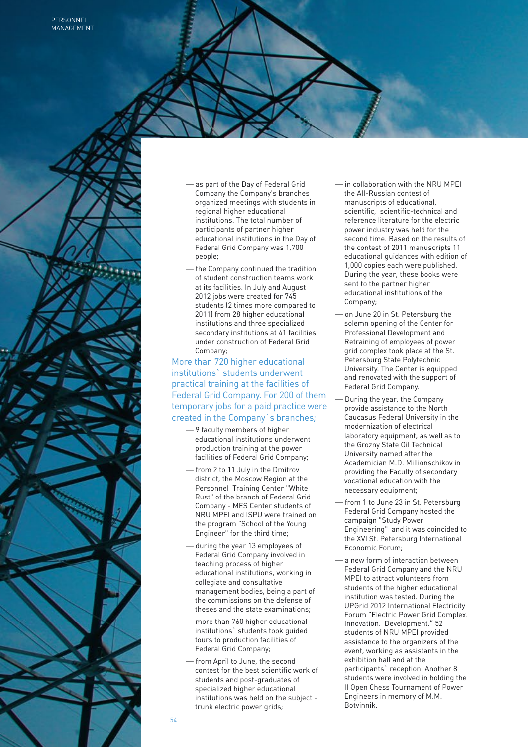

- as part of the Day of Federal Grid Company the Company's branches organized meetings with students in regional higher educational institutions. The total number of participants of partner higher educational institutions in the Day of Federal Grid Company was 1,700 people;
- the Company continued the tradition of student construction teams work at its facilities. In July and August 2012 jobs were created for 745 students (2 times more compared to 2011) from 28 higher educational institutions and three specialized secondary institutions at 41 facilities under construction of Federal Grid Company;

More than 720 higher educational institutions` students underwent practical training at the facilities of Federal Grid Company. For 200 of them temporary jobs for a paid practice were created in the Company`s branches;

- 9 faculty members of higher educational institutions underwent production training at the power facilities of Federal Grid Company;
- from 2 to 11 July in the Dmitrov district, the Moscow Region at the Personnel Training Center "White Rust" of the branch of Federal Grid Company - MES Center students of NRU MPEI and ISPU were trained on the program "School of the Young Engineer" for the third time;
- during the year 13 employees of Federal Grid Company involved in teaching process of higher educational institutions, working in collegiate and consultative management bodies, being a part of the commissions on the defense of theses and the state examinations;
- more than 760 higher educational institutions` students took guided tours to production facilities of Federal Grid Company;
- from April to June, the second contest for the best scientific work of students and post-graduates of specialized higher educational institutions was held on the subject trunk electric power grids;

— in collaboration with the NRU MPEI the All-Russian contest of manuscripts of educational, scientific, scientific-technical and reference literature for the electric power industry was held for the second time. Based on the results of the contest of 2011 manuscripts 11 educational guidances with edition of 1,000 copies each were published. During the year, these books were sent to the partner higher educational institutions of the Company;

- on June 20 in St. Petersburg the solemn opening of the Center for Professional Development and Retraining of employees of power grid complex took place at the St. Petersburg State Polytechnic University. The Center is equipped and renovated with the support of Federal Grid Company.
- During the year, the Company provide assistance to the North Caucasus Federal University in the modernization of electrical laboratory equipment, as well as to the Grozny State Oil Technical University named after the Academician M.D. Millionschikov in providing the Faculty of secondary vocational education with the necessary equipment;
- from 1 to June 23 in St. Petersburg Federal Grid Company hosted the campaign "Study Power Engineering" and it was coincided to the XVI St. Petersburg International Economic Forum;
- a new form of interaction between Federal Grid Company and the NRU MPEI to attract volunteers from students of the higher educational institution was tested. During the UPGrid 2012 International Electricity Forum "Electric Power Grid Complex. Innovation. Development." 52 students of NRU MPEI provided assistance to the organizers of the event, working as assistants in the exhibition hall and at the participants` reception. Another 8 students were involved in holding the II Open Chess Tournament of Power Engineers in memory of M.M. Botvinnik.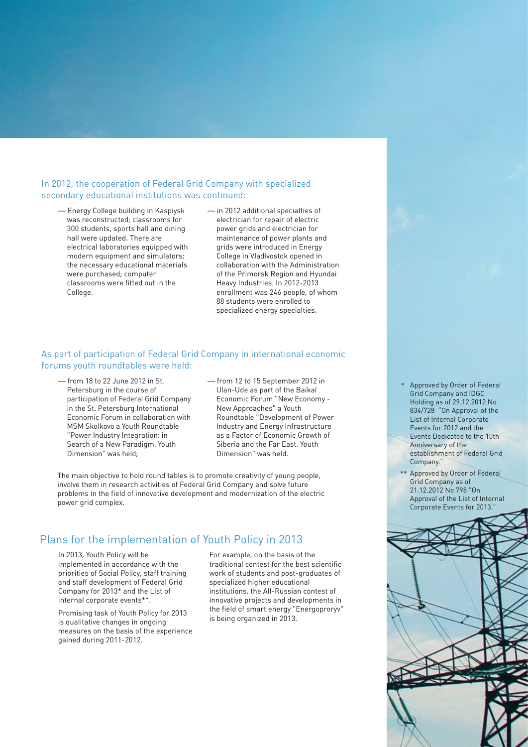#### In 2012, the cooperation of Federal Grid Company with specialized secondary educational institutions was continued:

- Energy College building in Kaspiysk was reconstructed; classrooms for 300 students, sports hall and dining hall were updated. There are electrical laboratories equipped with modern equipment and simulators; the necessary educational materials were purchased; computer classrooms were fitted out in the College.
- in 2012 additional specialties of electrician for repair of electric power grids and electrician for maintenance of power plants and grids were introduced in Energy College in Vladivostok opened in collaboration with the Administration of the Primorsk Region and Hyundai Heavy Industries. In 2012-2013 enrollment was 246 people, of whom 88 students were enrolled to specialized energy specialties.

#### As part of participation of Federal Grid Company in international economic forums youth roundtables were held:

- from 18 to 22 June 2012 in St. Petersburg in the course of participation of Federal Grid Company in the St. Petersburg International Economic Forum in collaboration with MSM Skolkovo a Youth Roundtable "Power Industry Integration: in Search of a New Paradigm. Youth Dimension" was held;
- from 12 to 15 September 2012 in Ulan-Ude as part of the Baikal Economic Forum "New Economy - New Approaches" a Youth Roundtable "Development of Power Industry and Energy Infrastructure as a Factor of Economic Growth of Siberia and the Far East. Youth Dimension" was held.

The main objective to hold round tables is to promote creativity of young people, involve them in research activities of Federal Grid Company and solve future problems in the field of innovative development and modernization of the electric power grid complex.

## Plans for the implementation of Youth Policy in 2013

In 2013, Youth Policy will be implemented in accordance with the priorities of Social Policy, staff training and staff development of Federal Grid Company for 2013\* and the List of internal corporate events\*\*.

Promising task of Youth Policy for 2013 is qualitative changes in ongoing measures on the basis of the experience gained during 2011-2012.

For example, on the basis of the traditional contest for the best scientific work of students and post-graduates of specialized higher educational institutions, the All-Russian contest of innovative projects and developments in the field of smart energy "Energoproryv" is being organized in 2013.

- Approved by Order of Federal Grid Company and IDGC Holding as of 29.12.2012 No 834/728 "On Approval of the List of Internal Corporate Events for 2012 and the Events Dedicated to the 10th Anniversary of the establishment of Federal Grid Company." \*
- \*\* Approved by Order of Federal Grid Company as of 21.12.2012 No 798 "On Approval of the List of Internal Corporate Events for 2013."